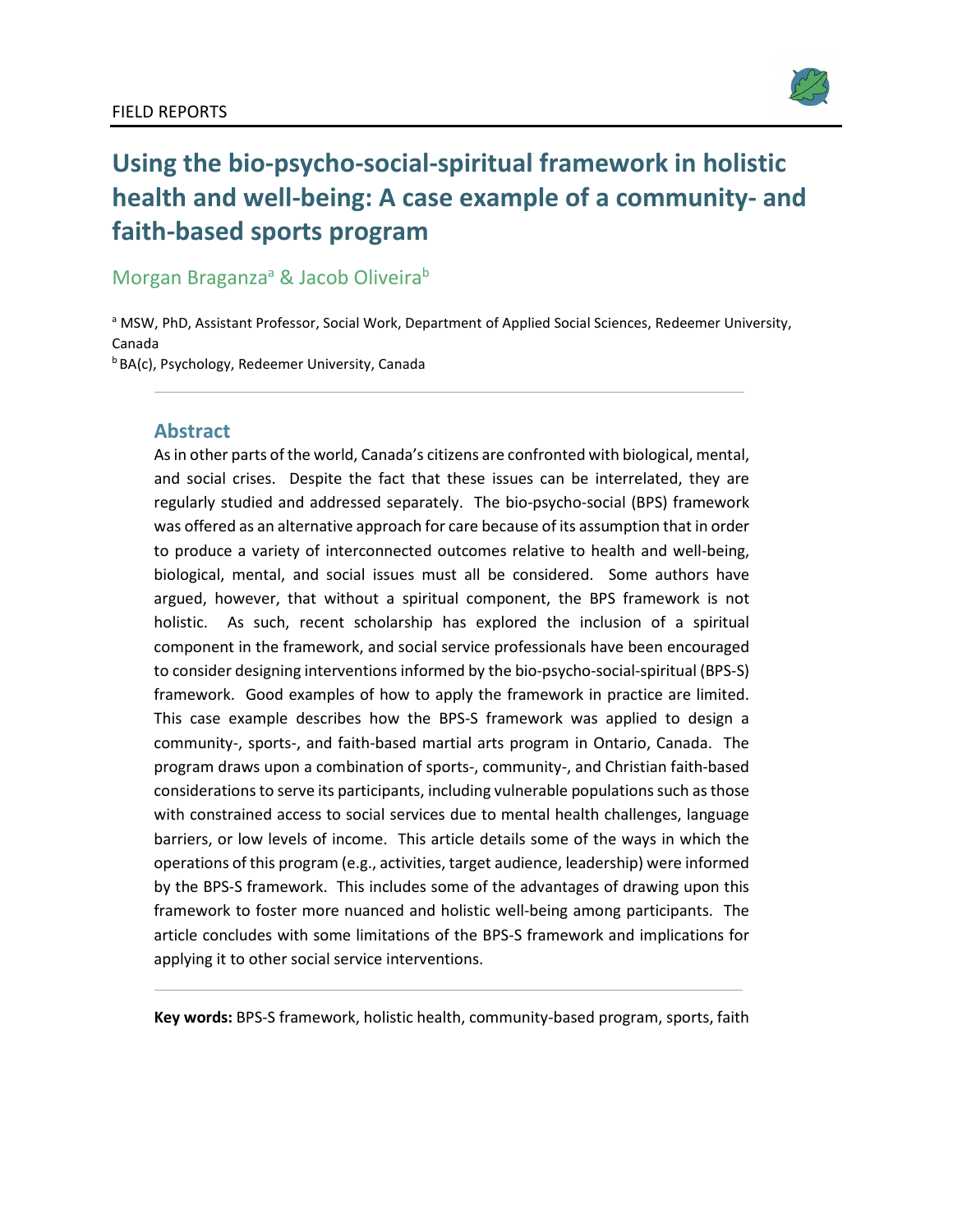

# **Using the bio-psycho-social-spiritual framework in holistic health and well-being: A case example of a community- and faith-based sports program**

Morgan Braganza<sup>a</sup> & Jacob Oliveira<sup>b</sup>

a MSW, PhD, Assistant Professor, Social Work, Department of Applied Social Sciences, Redeemer University, Canada<br><sup>b</sup> BA(c), Psychology, Redeemer University, Canada

#### **Abstract**

As in other parts of the world, Canada's citizens are confronted with biological, mental, and social crises. Despite the fact that these issues can be interrelated, they are regularly studied and addressed separately. The bio-psycho-social (BPS) framework was offered as an alternative approach for care because of its assumption that in order to produce a variety of interconnected outcomes relative to health and well-being, biological, mental, and social issues must all be considered. Some authors have argued, however, that without a spiritual component, the BPS framework is not holistic. As such, recent scholarship has explored the inclusion of a spiritual component in the framework, and social service professionals have been encouraged to consider designing interventions informed by the bio-psycho-social-spiritual (BPS-S) framework. Good examples of how to apply the framework in practice are limited. This case example describes how the BPS-S framework was applied to design a community-, sports-, and faith-based martial arts program in Ontario, Canada. The program draws upon a combination of sports-, community-, and Christian faith-based considerations to serve its participants, including vulnerable populations such as those with constrained access to social services due to mental health challenges, language barriers, or low levels of income. This article details some of the ways in which the operations of this program (e.g., activities, target audience, leadership) were informed by the BPS-S framework. This includes some of the advantages of drawing upon this framework to foster more nuanced and holistic well-being among participants. The article concludes with some limitations of the BPS-S framework and implications for applying it to other social service interventions.

**Key words:** BPS-S framework, holistic health, community-based program, sports, faith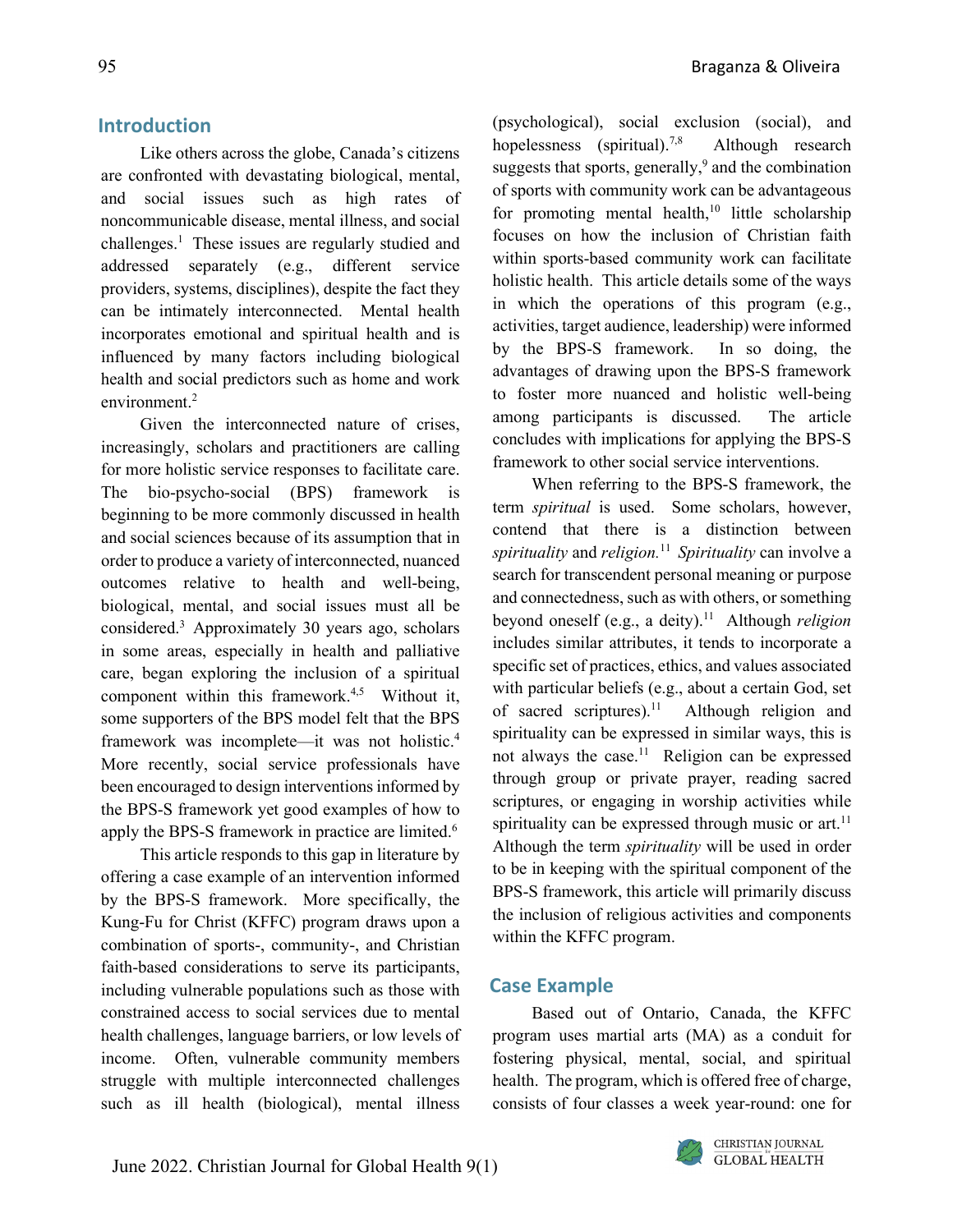#### **Introduction**

Like others across the globe, Canada's citizens are confronted with devastating biological, mental, and social issues such as high rates of noncommunicable disease, mental illness, and social challenges. <sup>1</sup> These issues are regularly studied and addressed separately (e.g., different service providers, systems, disciplines), despite the fact they can be intimately interconnected. Mental health incorporates emotional and spiritual health and is influenced by many factors including biological health and social predictors such as home and work environment. 2

Given the interconnected nature of crises, increasingly, scholars and practitioners are calling for more holistic service responses to facilitate care. The bio-psycho-social (BPS) framework is beginning to be more commonly discussed in health and social sciences because of its assumption that in order to produce a variety of interconnected, nuanced outcomes relative to health and well-being, biological, mental, and social issues must all be considered. 3 Approximately 30 years ago, scholars in some areas, especially in health and palliative care, began exploring the inclusion of a spiritual component within this framework.<sup>4,5</sup> Without it, some supporters of the BPS model felt that the BPS framework was incomplete—it was not holistic. 4 More recently, social service professionals have been encouraged to design interventions informed by the BPS-S framework yet good examples of how to apply the BPS-S framework in practice are limited.<sup>6</sup>

This article responds to this gap in literature by offering a case example of an intervention informed by the BPS-S framework. More specifically, the Kung-Fu for Christ (KFFC) program draws upon a combination of sports-, community-, and Christian faith-based considerations to serve its participants, including vulnerable populations such as those with constrained access to social services due to mental health challenges, language barriers, or low levels of income. Often, vulnerable community members struggle with multiple interconnected challenges such as ill health (biological), mental illness (psychological), social exclusion (social), and hopelessness (spiritual).<sup>7,8</sup> Although research suggests that sports, generally,<sup>9</sup> and the combination of sports with community work can be advantageous for promoting mental health,<sup>10</sup> little scholarship focuses on how the inclusion of Christian faith within sports-based community work can facilitate holistic health. This article details some of the ways

activities, target audience, leadership) were informed by the BPS-S framework. In so doing, the advantages of drawing upon the BPS-S framework to foster more nuanced and holistic well-being among participants is discussed. The article concludes with implications for applying the BPS-S framework to other social service interventions. When referring to the BPS-S framework, the

in which the operations of this program (e.g.,

term *spiritual* is used. Some scholars, however, contend that there is a distinction between *spirituality* and *religion.* <sup>11</sup> *Spirituality* can involve a search for transcendent personal meaning or purpose and connectedness, such as with others, or something beyond oneself (e.g., a deity). <sup>11</sup> Although *religion* includes similar attributes, it tends to incorporate a specific set of practices, ethics, and values associated with particular beliefs (e.g., about a certain God, set of sacred scriptures). <sup>11</sup> Although religion and spirituality can be expressed in similar ways, this is not always the case. <sup>11</sup> Religion can be expressed through group or private prayer, reading sacred scriptures, or engaging in worship activities while spirituality can be expressed through music or art.<sup>11</sup> Although the term *spirituality* will be used in order to be in keeping with the spiritual component of the BPS-S framework, this article will primarily discuss the inclusion of religious activities and components within the KFFC program.

#### **Case Example**

Based out of Ontario, Canada, the KFFC program uses martial arts (MA) as a conduit for fostering physical, mental, social, and spiritual health. The program, which is offered free of charge, consists of four classes a week year-round: one for

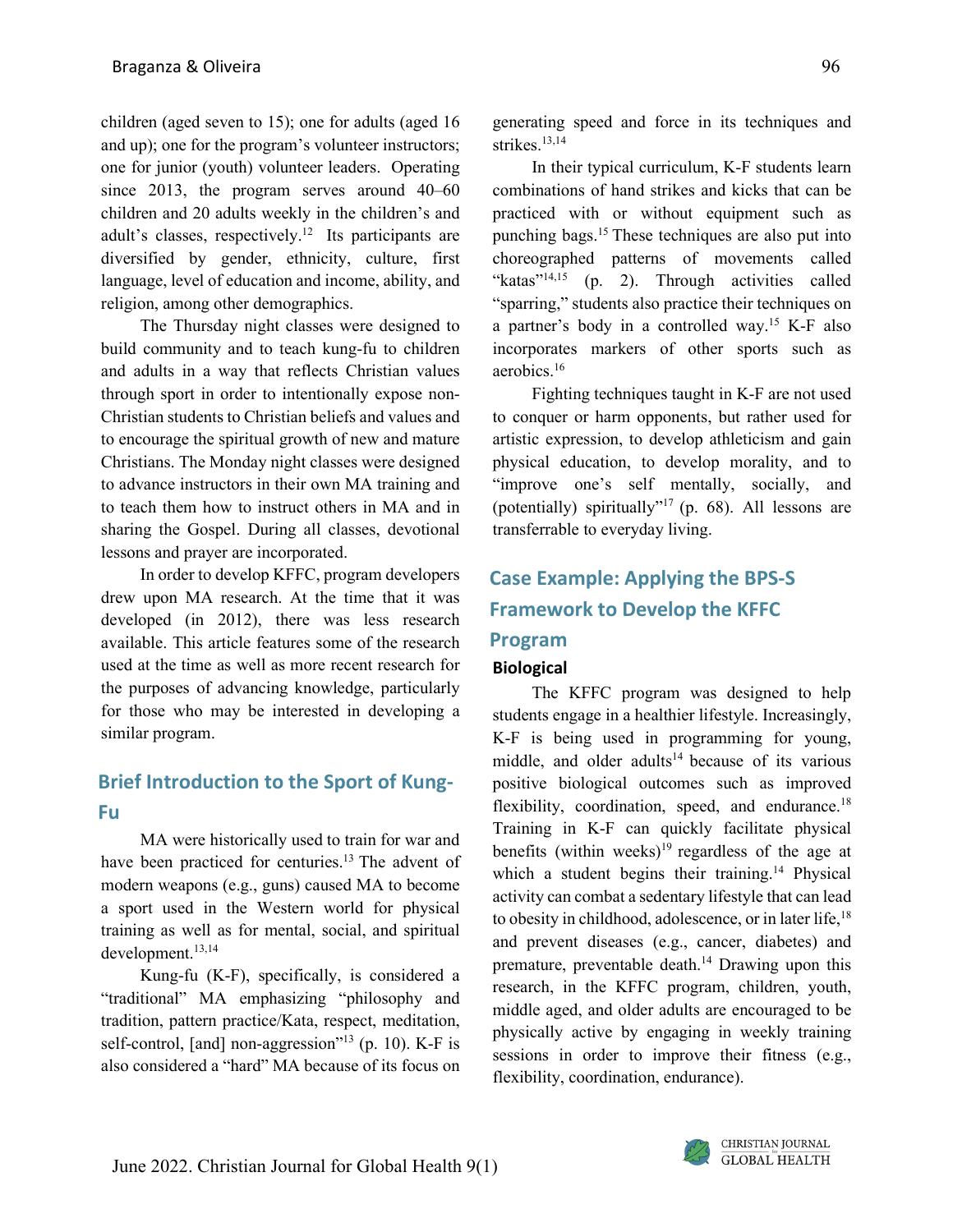children (aged seven to 15); one for adults (aged 16 and up); one for the program's volunteer instructors; one for junior (youth) volunteer leaders. Operating since 2013, the program serves around 40–60 children and 20 adults weekly in the children's and adult's classes, respectively. <sup>12</sup> Its participants are diversified by gender, ethnicity, culture, first language, level of education and income, ability, and religion, among other demographics.

The Thursday night classes were designed to build community and to teach kung-fu to children and adults in a way that reflects Christian values through sport in order to intentionally expose non-Christian students to Christian beliefs and values and to encourage the spiritual growth of new and mature Christians. The Monday night classes were designed to advance instructors in their own MA training and to teach them how to instruct others in MA and in sharing the Gospel. During all classes, devotional lessons and prayer are incorporated.

In order to develop KFFC, program developers drew upon MA research. At the time that it was developed (in 2012), there was less research available. This article features some of the research used at the time as well as more recent research for the purposes of advancing knowledge, particularly for those who may be interested in developing a similar program.

## **Brief Introduction to the Sport of Kung-Fu**

MA were historically used to train for war and have been practiced for centuries.<sup>13</sup> The advent of modern weapons (e.g., guns) caused MA to become a sport used in the Western world for physical training as well as for mental, social, and spiritual development. 13,14

Kung-fu (K-F), specifically, is considered a "traditional" MA emphasizing "philosophy and tradition, pattern practice/Kata, respect, meditation, self-control, [and] non-aggression"<sup>13</sup> (p. 10). K-F is also considered a "hard" MA because of its focus on generating speed and force in its techniques and strikes. 13,14

In their typical curriculum, K-F students learn combinations of hand strikes and kicks that can be practiced with or without equipment such as punching bags. 15 These techniques are also put into choreographed patterns of movements called "katas"<sup>14,15</sup> (p. 2). Through activities called "sparring," students also practice their techniques on a partner's body in a controlled way. <sup>15</sup> K-F also incorporates markers of other sports such as aerobics. 16

Fighting techniques taught in K-F are not used to conquer or harm opponents, but rather used for artistic expression, to develop athleticism and gain physical education, to develop morality, and to "improve one's self mentally, socially, and (potentially) spiritually"<sup>17</sup> (p. 68). All lessons are transferrable to everyday living.

## **Case Example: Applying the BPS-S Framework to Develop the KFFC Program**

#### **Biological**

The KFFC program was designed to help students engage in a healthier lifestyle. Increasingly, K-F is being used in programming for young, middle, and older adults<sup>14</sup> because of its various positive biological outcomes such as improved flexibility, coordination, speed, and endurance. $18$ Training in K-F can quickly facilitate physical benefits (within weeks)<sup>19</sup> regardless of the age at which a student begins their training.<sup>14</sup> Physical activity can combat a sedentary lifestyle that can lead to obesity in childhood, adolescence, or in later life,<sup>18</sup> and prevent diseases (e.g., cancer, diabetes) and premature, preventable death. <sup>14</sup> Drawing upon this research, in the KFFC program, children, youth, middle aged, and older adults are encouraged to be physically active by engaging in weekly training sessions in order to improve their fitness (e.g., flexibility, coordination, endurance).

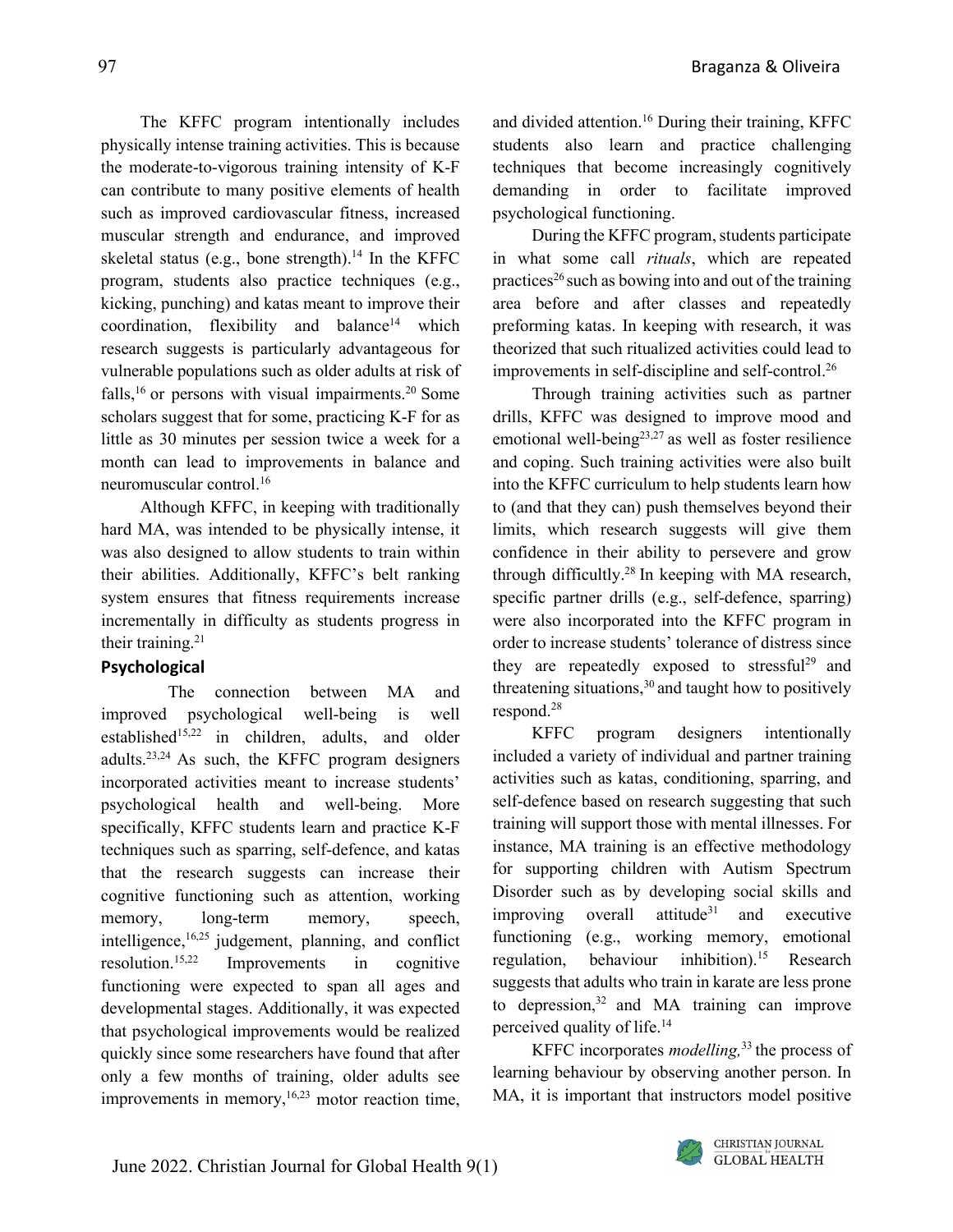The KFFC program intentionally includes physically intense training activities. This is because the moderate-to-vigorous training intensity of K-F can contribute to many positive elements of health such as improved cardiovascular fitness, increased muscular strength and endurance, and improved skeletal status (e.g., bone strength). <sup>14</sup> In the KFFC program, students also practice techniques (e.g., kicking, punching) and katas meant to improve their  $coordination$ , flexibility and balance<sup>14</sup> which research suggests is particularly advantageous for vulnerable populations such as older adults at risk of falls,<sup>16</sup> or persons with visual impairments.<sup>20</sup> Some scholars suggest that for some, practicing K-F for as little as 30 minutes per session twice a week for a month can lead to improvements in balance and neuromuscular control. 16

Although KFFC, in keeping with traditionally hard MA, was intended to be physically intense, it was also designed to allow students to train within their abilities. Additionally, KFFC's belt ranking system ensures that fitness requirements increase incrementally in difficulty as students progress in their training.<sup>21</sup>

#### **Psychological**

The connection between MA and improved psychological well-being is well established<sup>15,22</sup> in children, adults, and older adults.<sup>23,24</sup> As such, the KFFC program designers incorporated activities meant to increase students' psychological health and well-being. More specifically, KFFC students learn and practice K-F techniques such as sparring, self-defence, and katas that the research suggests can increase their cognitive functioning such as attention, working memory, long-term memory, speech, intelligence, 16,25 judgement, planning, and conflict resolution. Improvements in cognitive functioning were expected to span all ages and developmental stages. Additionally, it was expected that psychological improvements would be realized quickly since some researchers have found that after only a few months of training, older adults see improvements in memory,<sup>16,23</sup> motor reaction time,

and divided attention. <sup>16</sup> During their training, KFFC students also learn and practice challenging techniques that become increasingly cognitively demanding in order to facilitate improved psychological functioning.

During the KFFC program, students participate in what some call *rituals*, which are repeated practices<sup>26</sup> such as bowing into and out of the training area before and after classes and repeatedly preforming katas. In keeping with research, it was theorized that such ritualized activities could lead to improvements in self-discipline and self-control. 26

Through training activities such as partner drills, KFFC was designed to improve mood and emotional well-being<sup>23,27</sup> as well as foster resilience and coping. Such training activities were also built into the KFFC curriculum to help students learn how to (and that they can) push themselves beyond their limits, which research suggests will give them confidence in their ability to persevere and grow through difficultly.28 In keeping with MA research, specific partner drills (e.g., self-defence, sparring) were also incorporated into the KFFC program in order to increase students' tolerance of distress since they are repeatedly exposed to stressful<sup>29</sup> and threatening situations, <sup>30</sup> and taught how to positively respond. 28

KFFC program designers intentionally included a variety of individual and partner training activities such as katas, conditioning, sparring, and self-defence based on research suggesting that such training will support those with mental illnesses. For instance, MA training is an effective methodology for supporting children with Autism Spectrum Disorder such as by developing social skills and  $improving$  overall attitude<sup>31</sup> and executive functioning (e.g., working memory, emotional regulation, behaviour inhibition). Research suggests that adults who train in karate are less prone to depression, <sup>32</sup> and MA training can improve perceived quality of life. 14

KFFC incorporates *modelling,* 33 the process of learning behaviour by observing another person. In MA, it is important that instructors model positive

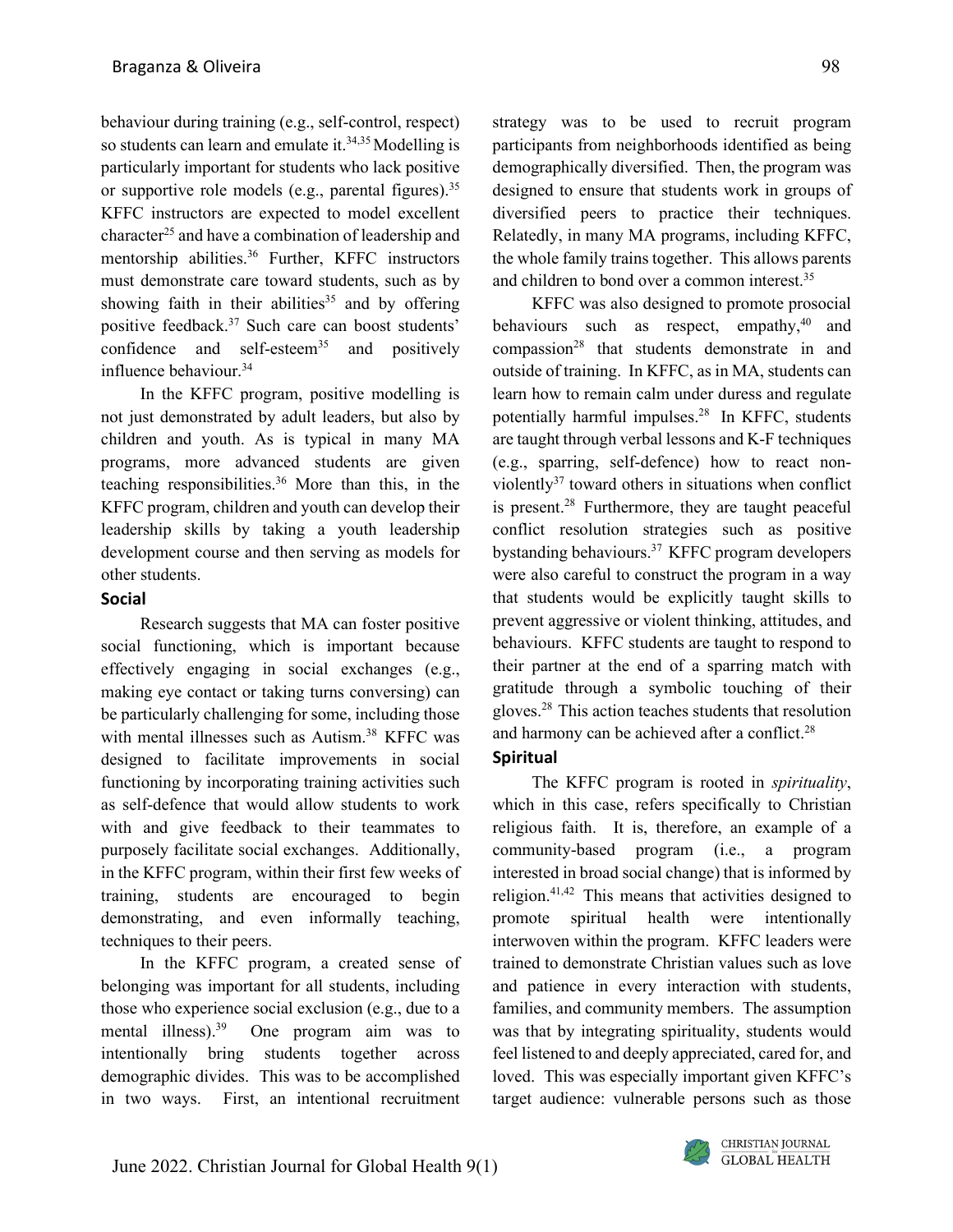behaviour during training (e.g., self-control, respect) so students can learn and emulate it.<sup>34,35</sup> Modelling is particularly important for students who lack positive or supportive role models (e.g., parental figures).<sup>35</sup> KFFC instructors are expected to model excellent character<sup>25</sup> and have a combination of leadership and mentorship abilities. <sup>36</sup> Further, KFFC instructors must demonstrate care toward students, such as by showing faith in their abilities<sup>35</sup> and by offering positive feedback. <sup>37</sup> Such care can boost students' confidence and self-esteem<sup>35</sup> and positively influence behaviour. 34

In the KFFC program, positive modelling is not just demonstrated by adult leaders, but also by children and youth. As is typical in many MA programs, more advanced students are given teaching responsibilities. <sup>36</sup> More than this, in the KFFC program, children and youth can develop their leadership skills by taking a youth leadership development course and then serving as models for other students.

#### **Social**

Research suggests that MA can foster positive social functioning, which is important because effectively engaging in social exchanges (e.g., making eye contact or taking turns conversing) can be particularly challenging for some, including those with mental illnesses such as Autism. 38 KFFC was designed to facilitate improvements in social functioning by incorporating training activities such as self-defence that would allow students to work with and give feedback to their teammates to purposely facilitate social exchanges. Additionally, in the KFFC program, within their first few weeks of training, students are encouraged to begin demonstrating, and even informally teaching, techniques to their peers.

In the KFFC program, a created sense of belonging was important for all students, including those who experience social exclusion (e.g., due to a mental illness). 39 One program aim was to intentionally bring students together across demographic divides. This was to be accomplished in two ways. First, an intentional recruitment

strategy was to be used to recruit program participants from neighborhoods identified as being demographically diversified. Then, the program was designed to ensure that students work in groups of diversified peers to practice their techniques. Relatedly, in many MA programs, including KFFC, the whole family trains together. This allows parents and children to bond over a common interest. 35

KFFC was also designed to promote prosocial behaviours such as respect, empathy,<sup>40</sup> and compassion<sup>28</sup> that students demonstrate in and outside of training. In KFFC, as in MA, students can learn how to remain calm under duress and regulate potentially harmful impulses.28 In KFFC, students are taught through verbal lessons and K-F techniques (e.g., sparring, self-defence) how to react nonviolently37 toward others in situations when conflict is present. <sup>28</sup> Furthermore, they are taught peaceful conflict resolution strategies such as positive bystanding behaviours.37 KFFC program developers were also careful to construct the program in a way that students would be explicitly taught skills to prevent aggressive or violent thinking, attitudes, and behaviours. KFFC students are taught to respond to their partner at the end of a sparring match with gratitude through a symbolic touching of their gloves. <sup>28</sup> This action teaches students that resolution and harmony can be achieved after a conflict.<sup>28</sup>

#### **Spiritual**

The KFFC program is rooted in *spirituality*, which in this case, refers specifically to Christian religious faith. It is, therefore, an example of a community-based program (i.e., a program interested in broad social change) that is informed by religion.<sup>41,42</sup> This means that activities designed to promote spiritual health were intentionally interwoven within the program. KFFC leaders were trained to demonstrate Christian values such as love and patience in every interaction with students, families, and community members. The assumption was that by integrating spirituality, students would feel listened to and deeply appreciated, cared for, and loved. This was especially important given KFFC's target audience: vulnerable persons such as those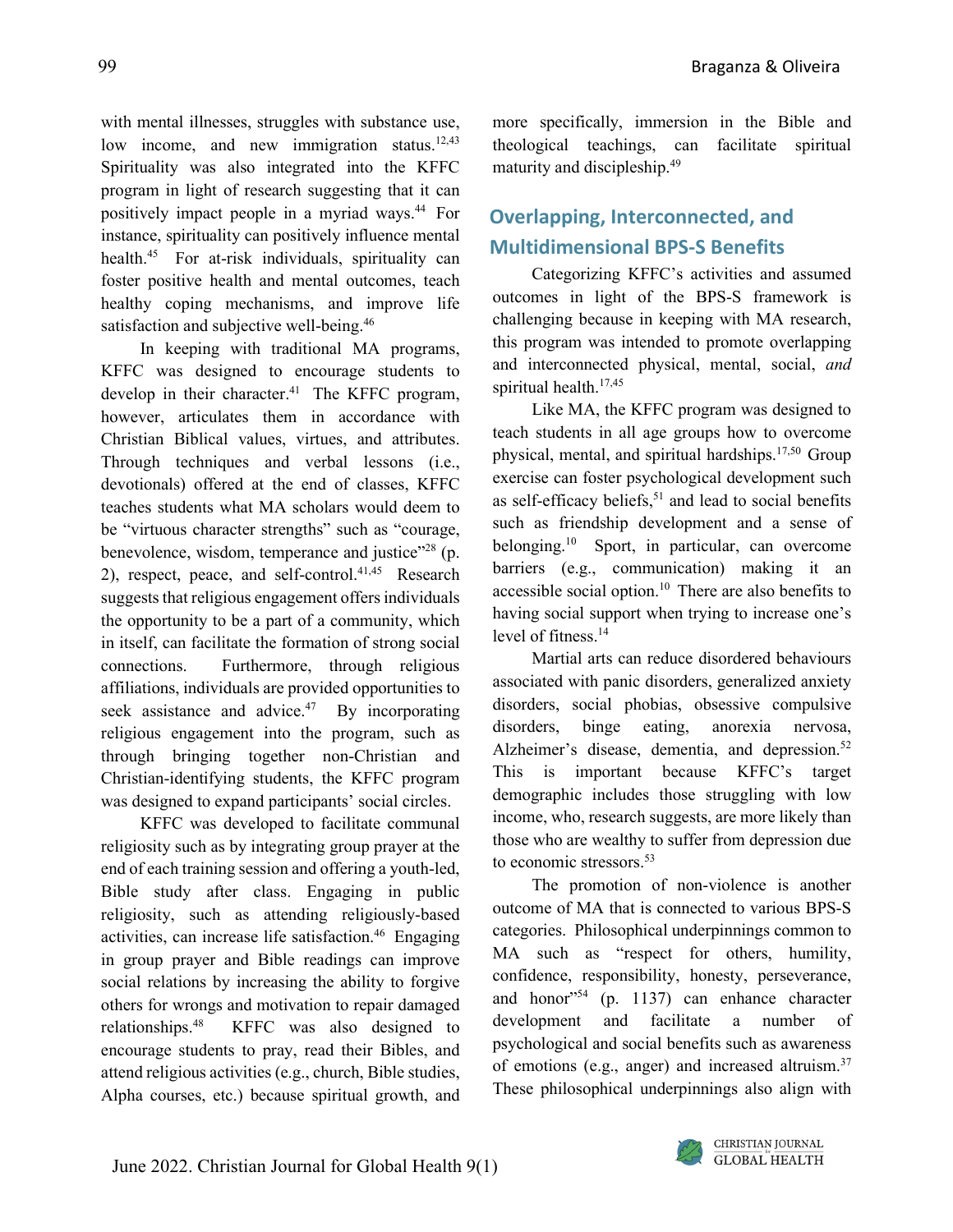with mental illnesses, struggles with substance use, low income, and new immigration status.<sup>12,43</sup> Spirituality was also integrated into the KFFC program in light of research suggesting that it can positively impact people in a myriad ways.44 For instance, spirituality can positively influence mental health.45 For at-risk individuals, spirituality can foster positive health and mental outcomes, teach healthy coping mechanisms, and improve life satisfaction and subjective well-being.<sup>46</sup>

In keeping with traditional MA programs, KFFC was designed to encourage students to develop in their character. <sup>41</sup> The KFFC program, however, articulates them in accordance with Christian Biblical values, virtues, and attributes. Through techniques and verbal lessons (i.e., devotionals) offered at the end of classes, KFFC teaches students what MA scholars would deem to be "virtuous character strengths" such as "courage, benevolence, wisdom, temperance and justice"<sup>28</sup> (p. 2), respect, peace, and self-control. 41,45 Research suggests that religious engagement offers individuals the opportunity to be a part of a community, which in itself, can facilitate the formation of strong social connections. Furthermore, through religious affiliations, individuals are provided opportunities to seek assistance and advice.<sup>47</sup> By incorporating religious engagement into the program, such as through bringing together non-Christian and Christian-identifying students, the KFFC program was designed to expand participants' social circles.

KFFC was developed to facilitate communal religiosity such as by integrating group prayer at the end of each training session and offering a youth-led, Bible study after class. Engaging in public religiosity, such as attending religiously-based activities, can increase life satisfaction. <sup>46</sup> Engaging in group prayer and Bible readings can improve social relations by increasing the ability to forgive others for wrongs and motivation to repair damaged relationships. KFFC was also designed to encourage students to pray, read their Bibles, and attend religious activities (e.g., church, Bible studies, Alpha courses, etc.) because spiritual growth, and

more specifically, immersion in the Bible and theological teachings, can facilitate spiritual maturity and discipleship. 49

### **Overlapping, Interconnected, and Multidimensional BPS-S Benefits**

Categorizing KFFC's activities and assumed outcomes in light of the BPS-S framework is challenging because in keeping with MA research, this program was intended to promote overlapping and interconnected physical, mental, social, *and* spiritual health. 17,45

Like MA, the KFFC program was designed to teach students in all age groups how to overcome physical, mental, and spiritual hardships. $17,50$  Group exercise can foster psychological development such as self-efficacy beliefs, <sup>51</sup> and lead to social benefits such as friendship development and a sense of belonging. <sup>10</sup> Sport, in particular, can overcome barriers (e.g., communication) making it an accessible social option.<sup>10</sup> There are also benefits to having social support when trying to increase one's level of fitness.14

Martial arts can reduce disordered behaviours associated with panic disorders, generalized anxiety disorders, social phobias, obsessive compulsive disorders, binge eating, anorexia nervosa, Alzheimer's disease, dementia, and depression.<sup>52</sup> This is important because KFFC's target demographic includes those struggling with low income, who, research suggests, are more likely than those who are wealthy to suffer from depression due to economic stressors. 53

The promotion of non-violence is another outcome of MA that is connected to various BPS-S categories. Philosophical underpinnings common to MA such as "respect for others, humility, confidence, responsibility, honesty, perseverance, and honor<sup>"54</sup> (p. 1137) can enhance character development and facilitate a number of psychological and social benefits such as awareness of emotions (e.g., anger) and increased altruism.<sup>37</sup> These philosophical underpinnings also align with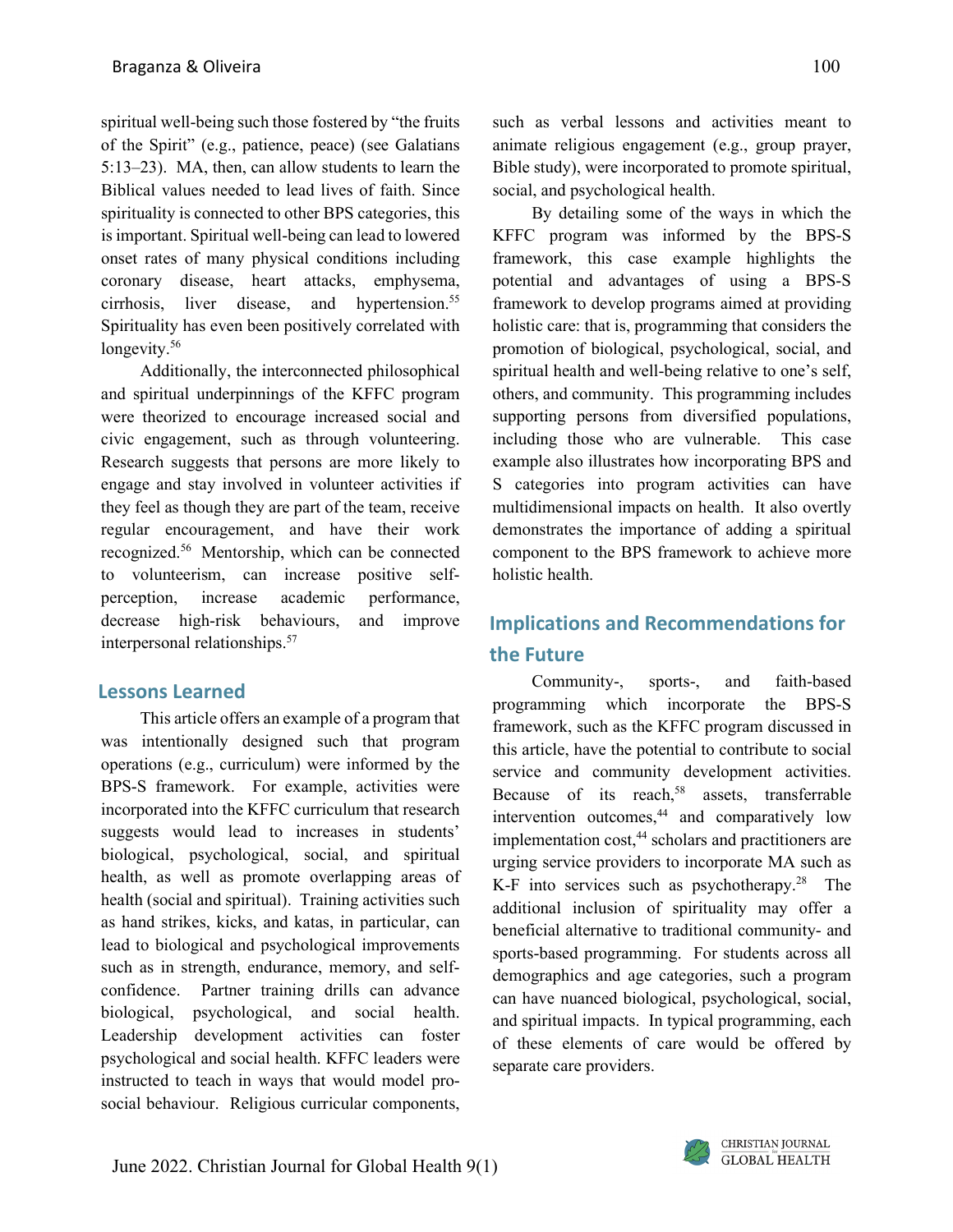spiritual well-being such those fostered by "the fruits of the Spirit" (e.g., patience, peace) (see Galatians 5:13–23). MA, then, can allow students to learn the Biblical values needed to lead lives of faith. Since spirituality is connected to other BPS categories, this is important. Spiritual well-being can lead to lowered onset rates of many physical conditions including coronary disease, heart attacks, emphysema, cirrhosis, liver disease, and hypertension. 55 Spirituality has even been positively correlated with longevity. 56

Additionally, the interconnected philosophical and spiritual underpinnings of the KFFC program were theorized to encourage increased social and civic engagement, such as through volunteering. Research suggests that persons are more likely to engage and stay involved in volunteer activities if they feel as though they are part of the team, receive regular encouragement, and have their work recognized. <sup>56</sup> Mentorship, which can be connected to volunteerism, can increase positive selfperception, increase academic performance, decrease high-risk behaviours, and improve interpersonal relationships.<sup>57</sup>

#### **Lessons Learned**

This article offers an example of a program that was intentionally designed such that program operations (e.g., curriculum) were informed by the BPS-S framework. For example, activities were incorporated into the KFFC curriculum that research suggests would lead to increases in students' biological, psychological, social, and spiritual health, as well as promote overlapping areas of health (social and spiritual). Training activities such as hand strikes, kicks, and katas, in particular, can lead to biological and psychological improvements such as in strength, endurance, memory, and selfconfidence. Partner training drills can advance biological, psychological, and social health. Leadership development activities can foster psychological and social health. KFFC leaders were instructed to teach in ways that would model prosocial behaviour. Religious curricular components,

such as verbal lessons and activities meant to animate religious engagement (e.g., group prayer, Bible study), were incorporated to promote spiritual, social, and psychological health.

By detailing some of the ways in which the KFFC program was informed by the BPS-S framework, this case example highlights the potential and advantages of using a BPS-S framework to develop programs aimed at providing holistic care: that is, programming that considers the promotion of biological, psychological, social, and spiritual health and well-being relative to one's self, others, and community. This programming includes supporting persons from diversified populations, including those who are vulnerable. This case example also illustrates how incorporating BPS and S categories into program activities can have multidimensional impacts on health. It also overtly demonstrates the importance of adding a spiritual component to the BPS framework to achieve more holistic health.

## **Implications and Recommendations for the Future**

Community-, sports-, and faith-based programming which incorporate the BPS-S framework, such as the KFFC program discussed in this article, have the potential to contribute to social service and community development activities. Because of its reach, <sup>58</sup> assets, transferrable intervention outcomes, <sup>44</sup> and comparatively low implementation cost, <sup>44</sup> scholars and practitioners are urging service providers to incorporate MA such as K-F into services such as psychotherapy.<sup>28</sup> The additional inclusion of spirituality may offer a beneficial alternative to traditional community- and sports-based programming. For students across all demographics and age categories, such a program can have nuanced biological, psychological, social, and spiritual impacts. In typical programming, each of these elements of care would be offered by separate care providers.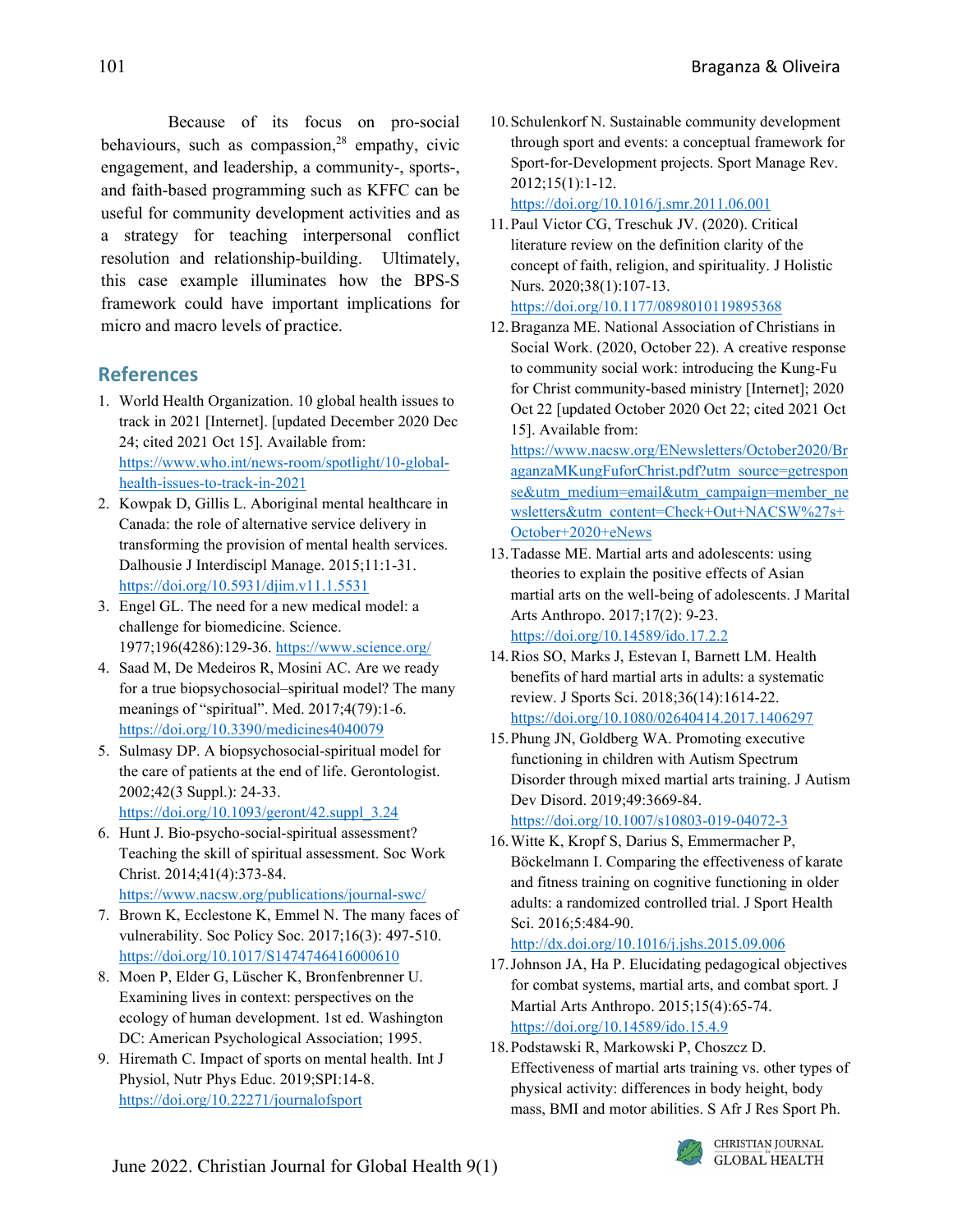Because of its focus on pro-social behaviours, such as compassion, <sup>28</sup> empathy, civic engagement, and leadership, a community-, sports-, and faith-based programming such as KFFC can be useful for community development activities and as a strategy for teaching interpersonal conflict resolution and relationship-building. Ultimately, this case example illuminates how the BPS-S framework could have important implications for micro and macro levels of practice.

### **References**

- 1. World Health Organization. 10 global health issues to track in 2021 [Internet]. [updated December 2020 Dec 24; cited 2021 Oct 15]. Available from: [https://www.who.int/news-room/spotlight/10-global](about:blank)[health-issues-to-track-in-2021](about:blank)
- 2. Kowpak D, Gillis L. Aboriginal mental healthcare in Canada: the role of alternative service delivery in transforming the provision of mental health services. Dalhousie J Interdiscipl Manage. 2015;11:1-31. [https://doi.org/10.5931/djim.v11.1.5531](about:blank)
- 3. Engel GL. The need for a new medical model: a challenge for biomedicine. Science. 1977;196(4286):129-36. [https://www.science.org/](about:blank)
- 4. Saad M, De Medeiros R, Mosini AC. Are we ready for a true biopsychosocial–spiritual model? The many meanings of "spiritual". Med. 2017;4(79):1-6. [https://doi.org/10.3390/medicines4040079](about:blank)
- 5. Sulmasy DP. A biopsychosocial-spiritual model for the care of patients at the end of life. Gerontologist. 2002;42(3 Suppl.): 24-33. [https://doi.org/10.1093/geront/42.suppl\\_3.24](about:blank)
- 6. Hunt J. Bio-psycho-social-spiritual assessment? Teaching the skill of spiritual assessment. Soc Work Christ. 2014;41(4):373-84. [https://www.nacsw.org/publications/journal-swc/](about:blank)
- 7. Brown K, Ecclestone K, Emmel N. The many faces of vulnerability. Soc Policy Soc. 2017;16(3): 497-510. [https://doi.org/10.1017/S1474746416000610](about:blank)
- 8. Moen P, Elder G, Lüscher K, Bronfenbrenner U. Examining lives in context: perspectives on the ecology of human development. 1st ed. Washington DC: American Psychological Association; 1995.
- 9. Hiremath C. Impact of sports on mental health. Int J Physiol, Nutr Phys Educ. 2019;SPI:14-8. [https://doi.org/10.22271/journalofsport](about:blank)

10.Schulenkorf N. Sustainable community development through sport and events: a conceptual framework for Sport-for-Development projects. Sport Manage Rev. 2012;15(1):1-12.

[https://doi.org/10.1016/j.smr.2011.06.001](about:blank)

- 11.Paul Victor CG, Treschuk JV. (2020). Critical literature review on the definition clarity of the concept of faith, religion, and spirituality. J Holistic Nurs. 2020;38(1):107-13. [https://doi.org/10.1177/0898010119895368](about:blank)
- 12.Braganza ME. National Association of Christians in Social Work. (2020, October 22). A creative response to community social work: introducing the Kung-Fu for Christ community-based ministry [Internet]; 2020 Oct 22 [updated October 2020 Oct 22; cited 2021 Oct 15]. Available from:

[https://www.nacsw.org/ENewsletters/October2020/Br](about:blank) [aganzaMKungFuforChrist.pdf?utm\\_source=getrespon](about:blank) [se&utm\\_medium=email&utm\\_campaign=member\\_ne](about:blank) [wsletters&utm\\_content=Check+Out+NACSW%27s+](about:blank) [October+2020+eNews](about:blank)

- 13.Tadasse ME. Martial arts and adolescents: using theories to explain the positive effects of Asian martial arts on the well-being of adolescents. J Marital Arts Anthropo. 2017;17(2): 9-23. [https://doi.org/10.14589/ido.17.2.2](about:blank)
- 14.Rios SO, Marks J, Estevan I, Barnett LM. Health benefits of hard martial arts in adults: a systematic review. J Sports Sci. 2018;36(14):1614-22. [https://doi.org/10.1080/02640414.2017.1406297](about:blank)
- 15.Phung JN, Goldberg WA. Promoting executive functioning in children with Autism Spectrum Disorder through mixed martial arts training. J Autism Dev Disord. 2019;49:3669-84. [https://doi.org/10.1007/s10803-019-04072-3](about:blank)

16.Witte K, Kropf S, Darius S, Emmermacher P, Böckelmann I. Comparing the effectiveness of karate and fitness training on cognitive functioning in older adults: a randomized controlled trial. J Sport Health Sci. 2016;5:484-90.

[http://dx.doi.org/10.1016/j.jshs.2015.09.006](about:blank)

- 17.Johnson JA, Ha P. Elucidating pedagogical objectives for combat systems, martial arts, and combat sport. J Martial Arts Anthropo. 2015;15(4):65-74. [https://doi.org/10.14589/ido.15.4.9](about:blank)
- 18.Podstawski R, Markowski P, Choszcz D. Effectiveness of martial arts training vs. other types of physical activity: differences in body height, body mass, BMI and motor abilities. S Afr J Res Sport Ph.

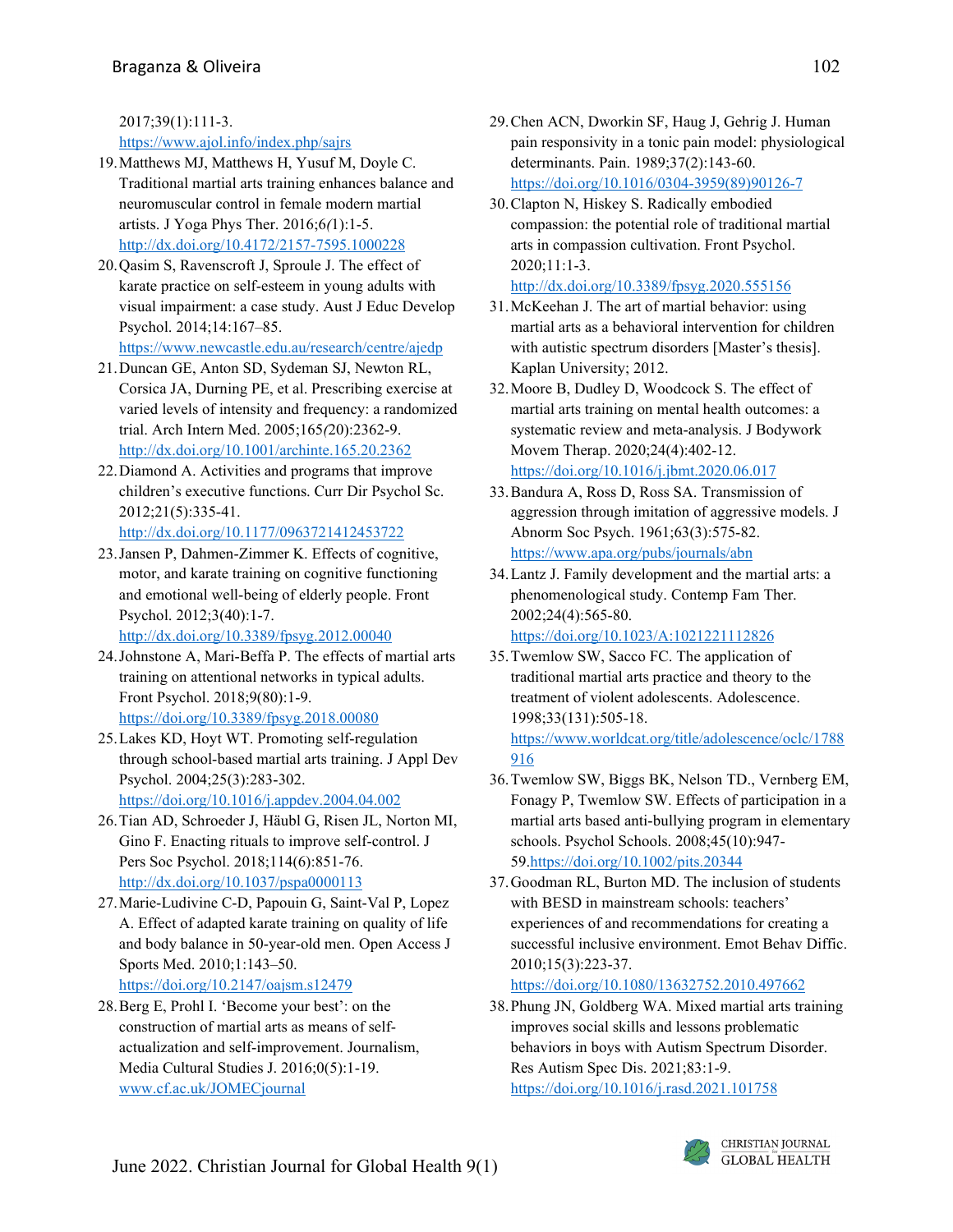2017;39(1):111-3.

#### [https://www.ajol.info/index.php/sajrs](about:blank)

- 19.Matthews MJ, Matthews H, Yusuf M, Doyle C. Traditional martial arts training enhances balance and neuromuscular control in female modern martial artists. J Yoga Phys Ther. 2016;6*(*1):1-5. [http://dx.doi.org/10.4172/2157-7595.1000228](about:blank)
- 20.Qasim S, Ravenscroft J, Sproule J. The effect of karate practice on self-esteem in young adults with visual impairment: a case study. Aust J Educ Develop Psychol. 2014;14:167–85. [https://www.newcastle.edu.au/research/centre/ajedp](about:blank)
- 21.Duncan GE, Anton SD, Sydeman SJ, Newton RL, Corsica JA, Durning PE, et al. Prescribing exercise at varied levels of intensity and frequency: a randomized trial. Arch Intern Med. 2005;165*(*20):2362-9. [http://dx.doi.org/10.1001/archinte.165.20.2362](about:blank)
- 22.Diamond A. Activities and programs that improve children's executive functions. Curr Dir Psychol Sc. 2012;21(5):335-41. [http://dx.doi.org/10.1177/0963721412453722](about:blank)
- 23.Jansen P, Dahmen-Zimmer K. Effects of cognitive, motor, and karate training on cognitive functioning and emotional well-being of elderly people. Front Psychol. 2012;3(40):1-7.

[http://dx.doi.org/10.3389/fpsyg.2012.00040](about:blank)

- 24.Johnstone A, Mari-Beffa P. The effects of martial arts training on attentional networks in typical adults. Front Psychol. 2018;9(80):1-9. [https://doi.org/10.3389/fpsyg.2018.00080](about:blank)
- 25.Lakes KD, Hoyt WT. Promoting self-regulation through school-based martial arts training. J Appl Dev Psychol. 2004;25(3):283-302. [https://doi.org/10.1016/j.appdev.2004.04.002](about:blank)
- 26.Tian AD, Schroeder J, Häubl G, Risen JL, Norton MI, Gino F. Enacting rituals to improve self-control. J Pers Soc Psychol. 2018;114(6):851-76. [http://dx.doi.org/10.1037/pspa0000113](about:blank)
- 27.Marie-Ludivine C-D, Papouin G, Saint-Val P, Lopez A. Effect of adapted karate training on quality of life and body balance in 50-year-old men. Open Access J Sports Med. 2010;1:143–50. [https://doi.org/10.2147/oajsm.s12479](about:blank)
- 28.Berg E, Prohl I. 'Become your best': on the construction of martial arts as means of selfactualization and self-improvement. Journalism, Media Cultural Studies J. 2016;0(5):1-19. [www.cf.ac.uk/JOMECjournal](about:blank)
- 29.Chen ACN, Dworkin SF, Haug J, Gehrig J. Human pain responsivity in a tonic pain model: physiological determinants. Pain. 1989;37(2):143-60. [https://doi.org/10.1016/0304-3959\(89\)90126-7](about:blank)
- 30.Clapton N, Hiskey S. Radically embodied compassion: the potential role of traditional martial arts in compassion cultivation. Front Psychol. 2020;11:1-3.

```
http://dx.doi.org/10.3389/fpsyg.2020.555156
```
- 31.McKeehan J. The art of martial behavior: using martial arts as a behavioral intervention for children with autistic spectrum disorders [Master's thesis]. Kaplan University; 2012.
- 32.Moore B, Dudley D, Woodcock S. The effect of martial arts training on mental health outcomes: a systematic review and meta-analysis. J Bodywork Movem Therap. 2020;24(4):402-12. [https://doi.org/10.1016/j.jbmt.2020.06.017](about:blank)
- 33.Bandura A, Ross D, Ross SA. Transmission of aggression through imitation of aggressive models. J Abnorm Soc Psych. 1961;63(3):575-82. [https://www.apa.org/pubs/journals/abn](about:blank)
- 34.Lantz J. Family development and the martial arts: a phenomenological study. Contemp Fam Ther. 2002;24(4):565‐80. [https://doi.org/10.1023/A:1021221112826](about:blank)
- 35.Twemlow SW, Sacco FC. The application of traditional martial arts practice and theory to the treatment of violent adolescents. Adolescence. 1998;33(131):505-18. [https://www.worldcat.org/title/adolescence/oclc/1788](about:blank) [916](about:blank)
- 36.Twemlow SW, Biggs BK, Nelson TD., Vernberg EM, Fonagy P, Twemlow SW. Effects of participation in a martial arts based anti‐bullying program in elementary schools. Psychol Schools. 2008;45(10):947‐ 5[9.https://doi.org/10.1002/pits.20344](about:blank)
- 37.Goodman RL, Burton MD. The inclusion of students with BESD in mainstream schools: teachers' experiences of and recommendations for creating a successful inclusive environment. Emot Behav Diffic. 2010;15(3):223‐37.

[https://doi.org/10.1080/13632752.2010.497662](about:blank)

38.Phung JN, Goldberg WA. Mixed martial arts training improves social skills and lessons problematic behaviors in boys with Autism Spectrum Disorder. Res Autism Spec Dis. 2021;83:1-9. [https://doi.org/10.1016/j.rasd.2021.101758](about:blank)

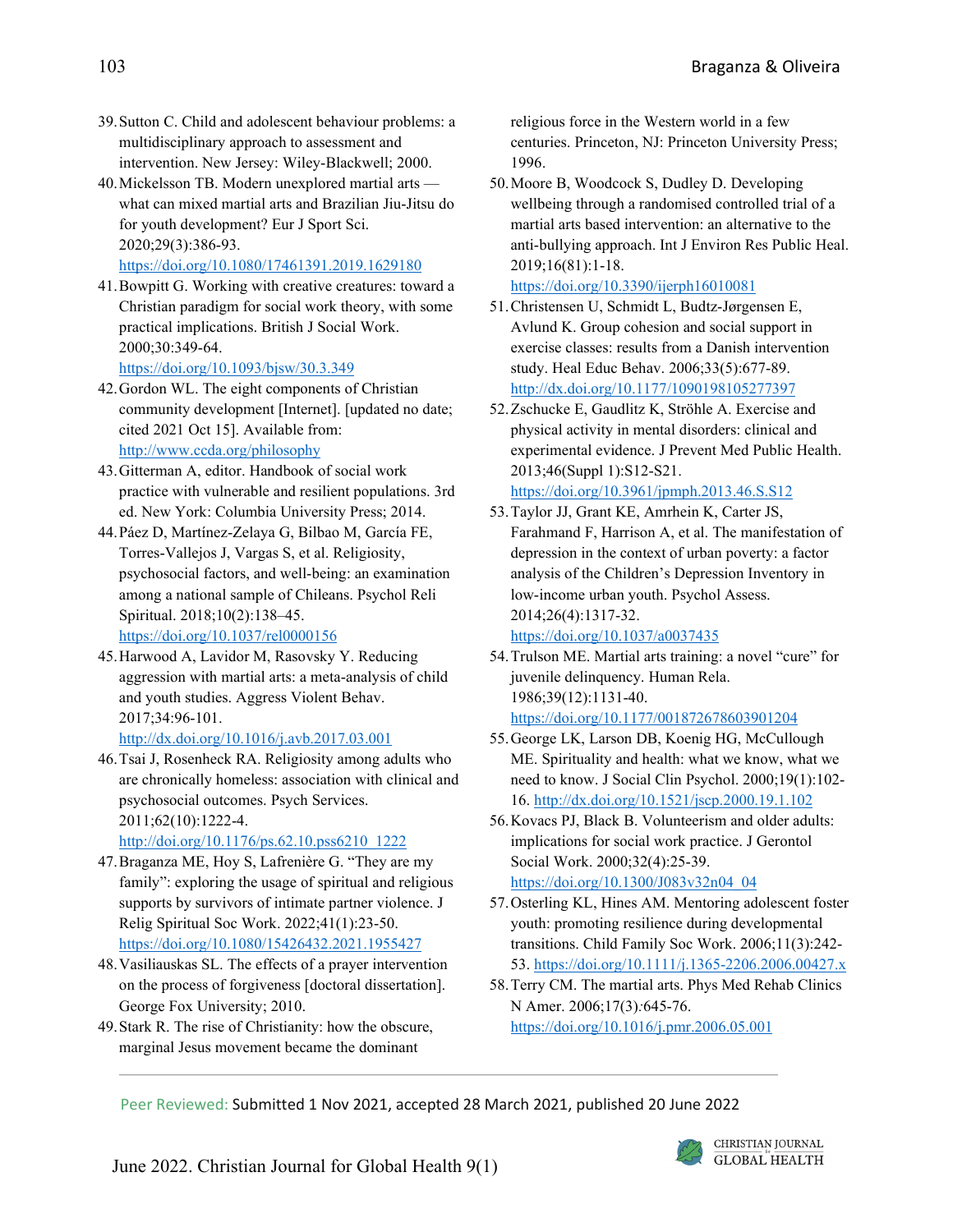- 39.Sutton C. Child and adolescent behaviour problems: a multidisciplinary approach to assessment and intervention. New Jersey: Wiley‐Blackwell; 2000.
- 40.Mickelsson TB. Modern unexplored martial arts what can mixed martial arts and Brazilian Jiu-Jitsu do for youth development? Eur J Sport Sci. 2020;29(3):386-93. [https://doi.org/10.1080/17461391.2019.1629180](about:blank)
- 41.Bowpitt G. Working with creative creatures: toward a Christian paradigm for social work theory, with some practical implications. British J Social Work. 2000;30:349-64. [https://doi.org/10.1093/bjsw/30.3.349](about:blank)
- 42.Gordon WL. The eight components of Christian community development [Internet]. [updated no date; cited 2021 Oct 15]. Available from: [http://www.ccda.org/philosophy](about:blank)
- 43.Gitterman A, editor. Handbook of social work practice with vulnerable and resilient populations. 3rd ed. New York: Columbia University Press; 2014.
- 44.Páez D, Martínez-Zelaya G, Bilbao M, García FE, Torres-Vallejos J, Vargas S, et al. Religiosity, psychosocial factors, and well-being: an examination among a national sample of Chileans. Psychol Reli Spiritual. 2018;10(2):138–45. [https://doi.org/10.1037/rel0000156](about:blank)
- 45.Harwood A, Lavidor M, Rasovsky Y. Reducing aggression with martial arts: a meta-analysis of child and youth studies. Aggress Violent Behav. 2017;34:96-101. [http://dx.doi.org/10.1016/j.avb.2017.03.001](about:blank)
- 46.Tsai J, Rosenheck RA. Religiosity among adults who are chronically homeless: association with clinical and psychosocial outcomes. Psych Services. 2011;62(10):1222-4. [http://doi.org/10.1176/ps.62.10.pss6210\\_1222](about:blank)
- 47.Braganza ME, Hoy S, Lafrenière G. "They are my family": exploring the usage of spiritual and religious supports by survivors of intimate partner violence. J Relig Spiritual Soc Work. 2022;41(1):23-50. [https://doi.org/10.1080/15426432.2021.1955427](about:blank)
- 48.Vasiliauskas SL. The effects of a prayer intervention on the process of forgiveness [doctoral dissertation]. George Fox University; 2010.
- 49.Stark R. The rise of Christianity: how the obscure, marginal Jesus movement became the dominant

religious force in the Western world in a few centuries. Princeton, NJ: Princeton University Press; 1996.

50.Moore B, Woodcock S, Dudley D. Developing wellbeing through a randomised controlled trial of a martial arts based intervention: an alternative to the anti-bullying approach. Int J Environ Res Public Heal. 2019;16(81):1-18.

[https://doi.org/10.3390/ijerph16010081](about:blank)

- 51.Christensen U, Schmidt L, Budtz-Jørgensen E, Avlund K. Group cohesion and social support in exercise classes: results from a Danish intervention study. Heal Educ Behav. 2006;33(5):677-89. [http://dx.doi.org/10.1177/1090198105277397](about:blank)
- 52.Zschucke E, Gaudlitz K, Ströhle A. Exercise and physical activity in mental disorders: clinical and experimental evidence. J Prevent Med Public Health. 2013;46(Suppl 1):S12-S21.

```
https://doi.org/10.3961/jpmph.2013.46.S.S12
```
53.Taylor JJ, Grant KE, Amrhein K, Carter JS, Farahmand F, Harrison A, et al. The manifestation of depression in the context of urban poverty: a factor analysis of the Children's Depression Inventory in low-income urban youth. Psychol Assess. 2014;26(4):1317-32.

[https://doi.org/10.1037/a0037435](about:blank)

- 54.Trulson ME. Martial arts training: a novel "cure" for juvenile delinquency. Human Rela. 1986;39(12):1131-40. [https://doi.org/10.1177/001872678603901204](about:blank)
- 55.George LK, Larson DB, Koenig HG, McCullough ME. Spirituality and health: what we know, what we need to know. J Social Clin Psychol. 2000;19(1):102- 16. [http://dx.doi.org/10.1521/jscp.2000.19.1.102](about:blank)
- 56.Kovacs PJ, Black B. Volunteerism and older adults: implications for social work practice. J Gerontol Social Work. 2000;32(4):25-39. [https://doi.org/10.1300/J083v32n04\\_04](about:blank)
- 57.Osterling KL, Hines AM. Mentoring adolescent foster youth: promoting resilience during developmental transitions. Child Family Soc Work. 2006;11(3):242- 53. [https://doi.org/10.1111/j.1365-2206.2006.00427.x](about:blank)
- 58.Terry CM. The martial arts. Phys Med Rehab Clinics N Amer. 2006;17(3)*:*645-76. [https://doi.org/10.1016/j.pmr.2006.05.001](about:blank)

Peer Reviewed: Submitted 1 Nov 2021, accepted 28 March 2021, published 20 June 2022